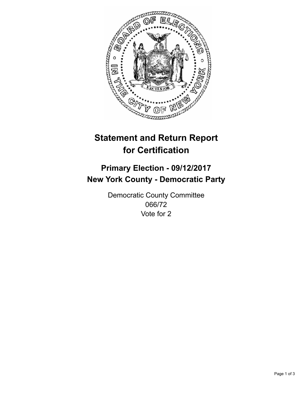

## **Statement and Return Report for Certification**

## **Primary Election - 09/12/2017 New York County - Democratic Party**

Democratic County Committee 066/72 Vote for 2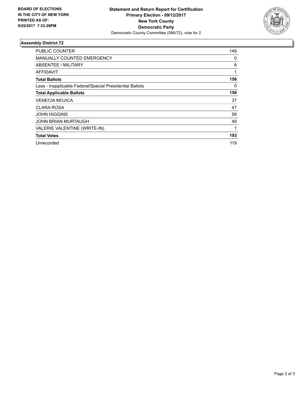

## **Assembly District 72**

| <b>PUBLIC COUNTER</b>                                    | 149 |
|----------------------------------------------------------|-----|
| MANUALLY COUNTED EMERGENCY                               | 0   |
| ABSENTEE / MILITARY                                      | 6   |
| <b>AFFIDAVIT</b>                                         | 1   |
| <b>Total Ballots</b>                                     | 156 |
| Less - Inapplicable Federal/Special Presidential Ballots | 0   |
| <b>Total Applicable Ballots</b>                          | 156 |
| <b>VENECIA MOJICA</b>                                    | 37  |
| CLARA ROSA                                               | 47  |
| <b>JOHN HIGGINS</b>                                      | 59  |
| <b>JOHN BRIAN MURTAUGH</b>                               | 49  |
| VALERIE VALENTINE (WRITE-IN)                             | 1   |
| <b>Total Votes</b>                                       | 193 |
| Unrecorded                                               | 119 |